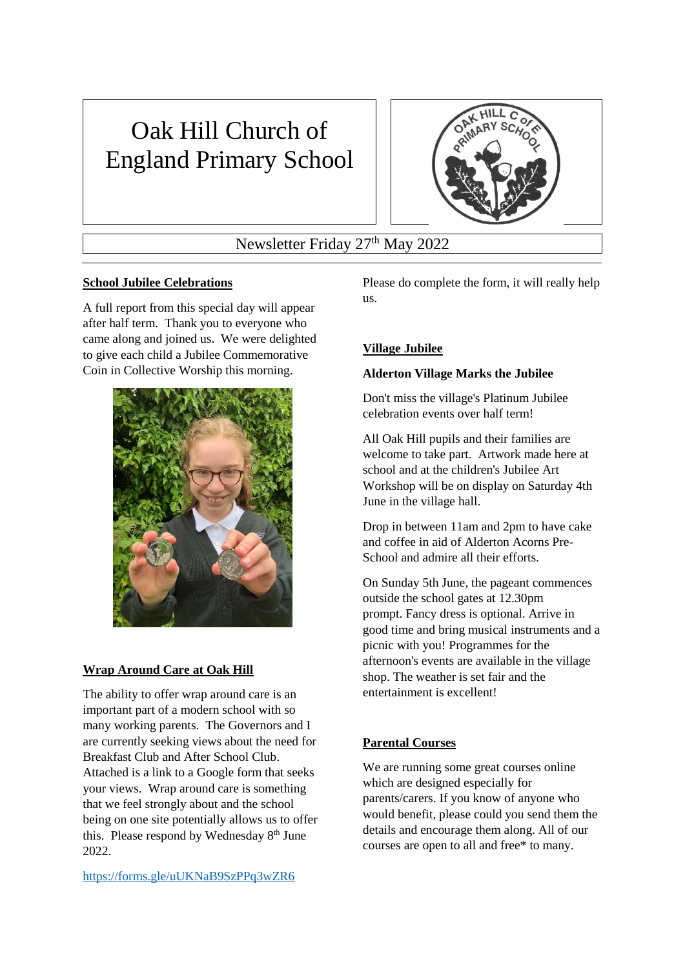# Oak Hill Church of England Primary School



Newsletter Friday 27<sup>th</sup> May 2022

## **School Jubilee Celebrations**

A full report from this special day will appear after half term. Thank you to everyone who came along and joined us. We were delighted to give each child a Jubilee Commemorative Coin in Collective Worship this morning.



## **Wrap Around Care at Oak Hill**

The ability to offer wrap around care is an important part of a modern school with so many working parents. The Governors and I are currently seeking views about the need for Breakfast Club and After School Club. Attached is a link to a Google form that seeks your views. Wrap around care is something that we feel strongly about and the school being on one site potentially allows us to offer this. Please respond by Wednesday 8<sup>th</sup> June 2022.

<https://forms.gle/uUKNaB9SzPPq3wZR6>

Please do complete the form, it will really help us.

# **Village Jubilee**

## **Alderton Village Marks the Jubilee**

Don't miss the village's Platinum Jubilee celebration events over half term!

All Oak Hill pupils and their families are welcome to take part. Artwork made here at school and at the children's Jubilee Art Workshop will be on display on Saturday 4th June in the village hall.

Drop in between 11am and 2pm to have cake and coffee in aid of Alderton Acorns Pre-School and admire all their efforts.

On Sunday 5th June, the pageant commences outside the school gates at 12.30pm prompt. Fancy dress is optional. Arrive in good time and bring musical instruments and a picnic with you! Programmes for the afternoon's events are available in the village shop. The weather is set fair and the entertainment is excellent!

## **Parental Courses**

We are running some great courses online which are designed especially for parents/carers. If you know of anyone who would benefit, please could you send them the details and encourage them along. All of our courses are open to all and free\* to many.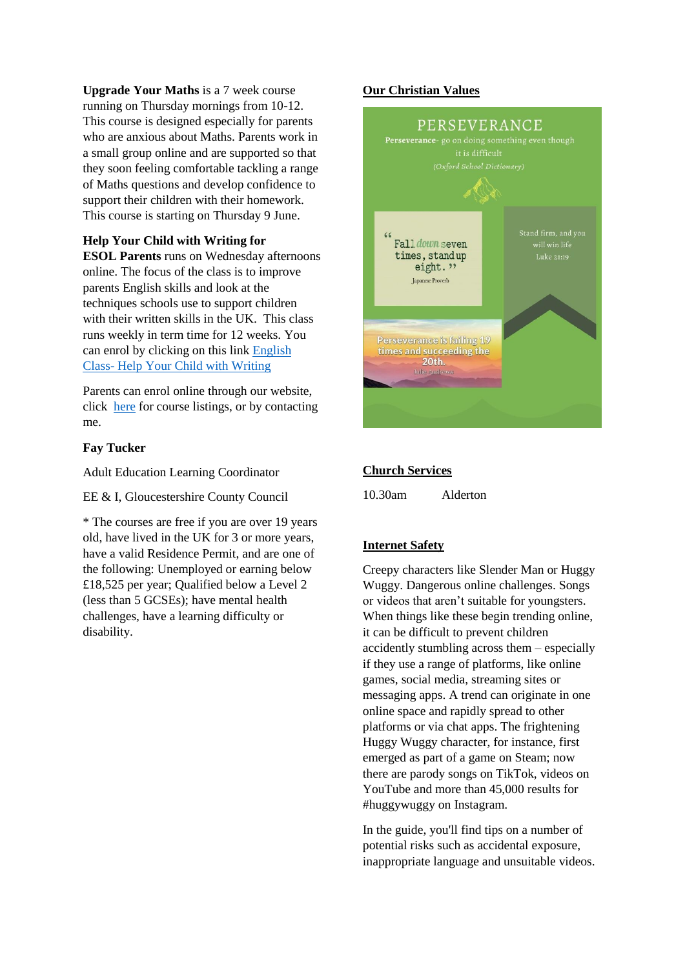**Upgrade Your Maths** is a 7 week course running on Thursday mornings from 10-12. This course is designed especially for parents who are anxious about Maths. Parents work in a small group online and are supported so that they soon feeling comfortable tackling a range of Maths questions and develop confidence to support their children with their homework. This course is starting on Thursday 9 June.

#### **Help Your Child with Writing for**

**ESOL Parents** runs on Wednesday afternoons online. The focus of the class is to improve parents English skills and look at the techniques schools use to support children with their written skills in the UK. This class runs weekly in term time for 12 weeks. You can enrol by clicking on this link [English](https://courses.glosglobal.net/CourseDetailsView.asp?CODE=GL0055284&NAME=Help+Your+Child+With+Writing+ESOL+Parent&ID1=2500&ID2=55284&ID3=1)  Class- [Help Your Child with Writing](https://courses.glosglobal.net/CourseDetailsView.asp?CODE=GL0055284&NAME=Help+Your+Child+With+Writing+ESOL+Parent&ID1=2500&ID2=55284&ID3=1)

Parents can enrol online through our website, click [here](https://courses.glosglobal.net/AvailableCoursesList.asp?PageIndex=1) for course listings, or by contacting me.

#### **Fay Tucker**

Adult Education Learning Coordinator

EE & I, Gloucestershire County Council

\* The courses are free if you are over 19 years old, have lived in the UK for 3 or more years, have a valid Residence Permit, and are one of the following: Unemployed or earning below £18,525 per year; Qualified below a Level 2 (less than 5 GCSEs); have mental health challenges, have a learning difficulty or disability.

#### **Our Christian Values**



#### **Church Services**

10.30am Alderton

#### **Internet Safety**

Creepy characters like Slender Man or Huggy Wuggy. Dangerous online challenges. Songs or videos that aren't suitable for youngsters. When things like these begin trending online, it can be difficult to prevent children accidently stumbling across them – especially if they use a range of platforms, like online games, social media, streaming sites or messaging apps. A trend can originate in one online space and rapidly spread to other platforms or via chat apps. The frightening Huggy Wuggy character, for instance, first emerged as part of a game on Steam; now there are parody songs on TikTok, videos on YouTube and more than 45,000 results for #huggywuggy on Instagram.

In the guide, you'll find tips on a number of potential risks such as accidental exposure, inappropriate language and unsuitable videos.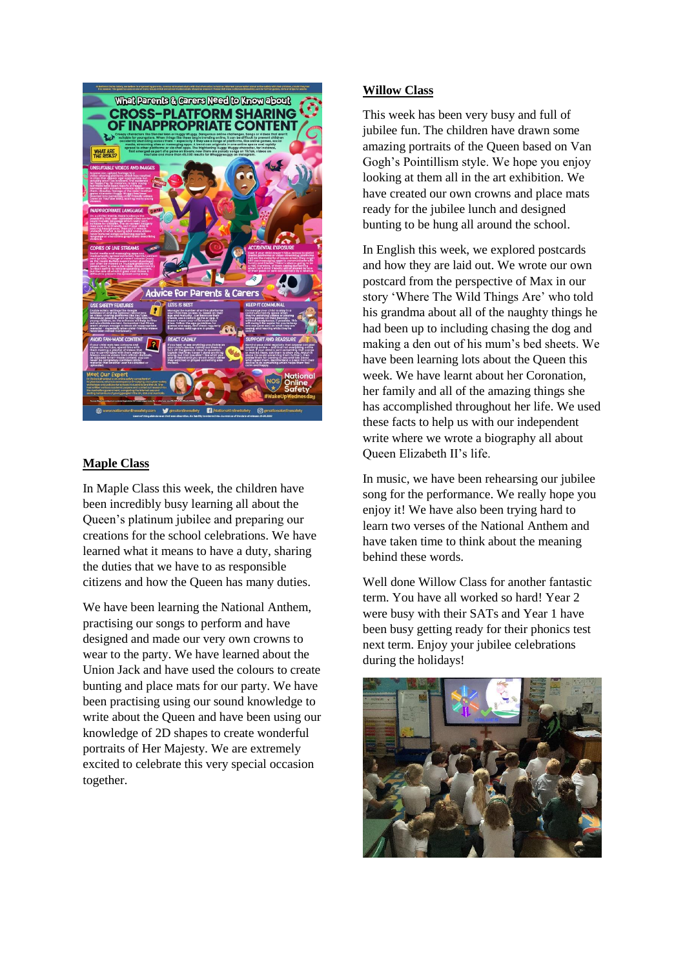

# **Maple Class**

In Maple Class this week, the children have been incredibly busy learning all about the Queen's platinum jubilee and preparing our creations for the school celebrations. We have learned what it means to have a duty, sharing the duties that we have to as responsible citizens and how the Queen has many duties.

We have been learning the National Anthem, practising our songs to perform and have designed and made our very own crowns to wear to the party. We have learned about the Union Jack and have used the colours to create bunting and place mats for our party. We have been practising using our sound knowledge to write about the Queen and have been using our knowledge of 2D shapes to create wonderful portraits of Her Majesty. We are extremely excited to celebrate this very special occasion together.

#### **Willow Class**

This week has been very busy and full of jubilee fun. The children have drawn some amazing portraits of the Queen based on Van Gogh's Pointillism style. We hope you enjoy looking at them all in the art exhibition. We have created our own crowns and place mats ready for the jubilee lunch and designed bunting to be hung all around the school.

In English this week, we explored postcards and how they are laid out. We wrote our own postcard from the perspective of Max in our story 'Where The Wild Things Are' who told his grandma about all of the naughty things he had been up to including chasing the dog and making a den out of his mum's bed sheets. We have been learning lots about the Queen this week. We have learnt about her Coronation, her family and all of the amazing things she has accomplished throughout her life. We used these facts to help us with our independent write where we wrote a biography all about Queen Elizabeth II's life.

In music, we have been rehearsing our jubilee song for the performance. We really hope you enjoy it! We have also been trying hard to learn two verses of the National Anthem and have taken time to think about the meaning behind these words.

Well done Willow Class for another fantastic term. You have all worked so hard! Year 2 were busy with their SATs and Year 1 have been busy getting ready for their phonics test next term. Enjoy your jubilee celebrations during the holidays!

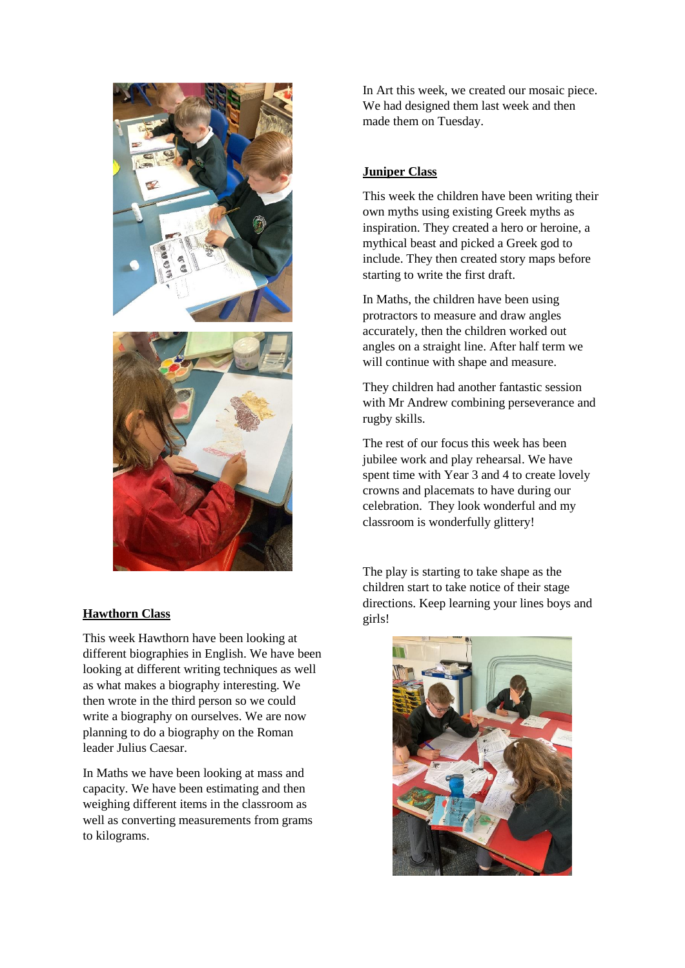

## **Hawthorn Class**

This week Hawthorn have been looking at different biographies in English. We have been looking at different writing techniques as well as what makes a biography interesting. We then wrote in the third person so we could write a biography on ourselves. We are now planning to do a biography on the Roman leader Julius Caesar.

In Maths we have been looking at mass and capacity. We have been estimating and then weighing different items in the classroom as well as converting measurements from grams to kilograms.

In Art this week, we created our mosaic piece. We had designed them last week and then made them on Tuesday.

# **Juniper Class**

This week the children have been writing their own myths using existing Greek myths as inspiration. They created a hero or heroine, a mythical beast and picked a Greek god to include. They then created story maps before starting to write the first draft.

In Maths, the children have been using protractors to measure and draw angles accurately, then the children worked out angles on a straight line. After half term we will continue with shape and measure.

They children had another fantastic session with Mr Andrew combining perseverance and rugby skills.

The rest of our focus this week has been jubilee work and play rehearsal. We have spent time with Year 3 and 4 to create lovely crowns and placemats to have during our celebration. They look wonderful and my classroom is wonderfully glittery!

The play is starting to take shape as the children start to take notice of their stage directions. Keep learning your lines boys and girls!

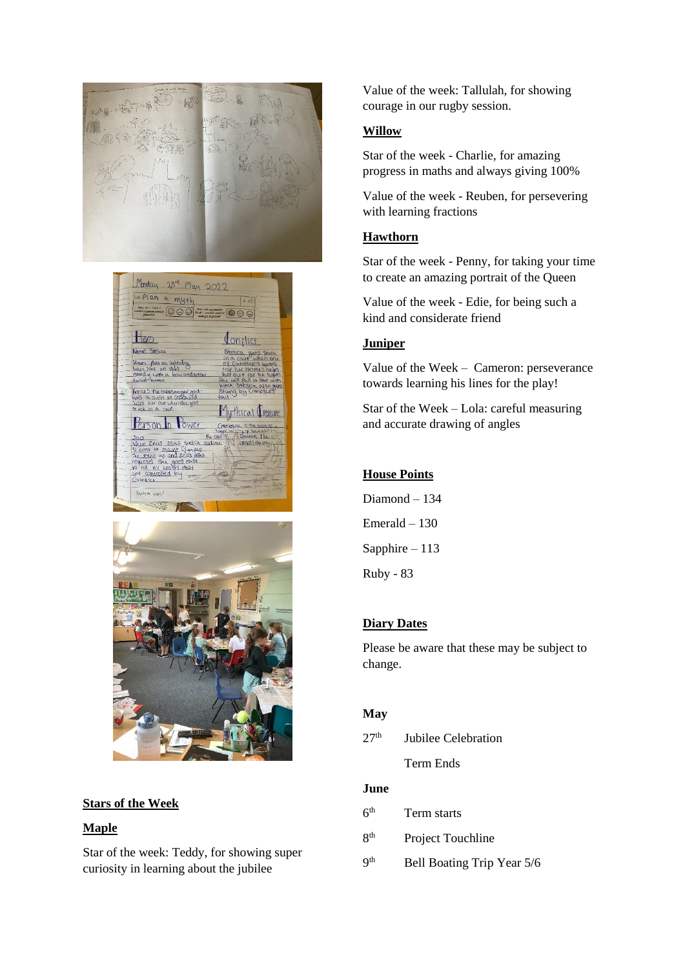· ·· 全一

Monday 23rd May 2022 co. Plan a myth  $\sqrt{s}$ <u>\*</u>\* 000 <del>\*\*</del>  $\overline{\circ}$  $Heo$ Lonflict Name: Stesic nues: fast as lightning<br>ain like an owl<br>andy with a bow and arro krities the messanger god<br>10S . 9 crushi on Stosland erson In Power Zeus asks siesca convirols the w asks stesm<br>o mount Olimpius<br>sup and zeus asks goes eas<br>usts that Fantado Guas



## **Stars of the Week**

#### **Maple**

Star of the week: Teddy, for showing super curiosity in learning about the jubilee

Value of the week: Tallulah, for showing courage in our rugby session.

## **Willow**

Star of the week - Charlie, for amazing progress in maths and always giving 100%

Value of the week - Reuben, for persevering with learning fractions

## **Hawthorn**

Star of the week - Penny, for taking your time to create an amazing portrait of the Queen

Value of the week - Edie, for being such a kind and considerate friend

# **Juniper**

Value of the Week – Cameron: perseverance towards learning his lines for the play!

Star of the Week – Lola: careful measuring and accurate drawing of angles

# **House Points**

Diamond – 134 Emerald – 130 Sapphire – 113 Ruby - 83

# **Diary Dates**

Please be aware that these may be subject to change.

## **May**

 $27<sup>th</sup>$  Jubilee Celebration

Term Ends

## **June**

- $6<sup>th</sup>$ Term starts
- 8 Project Touchline
- **9th** Bell Boating Trip Year 5/6